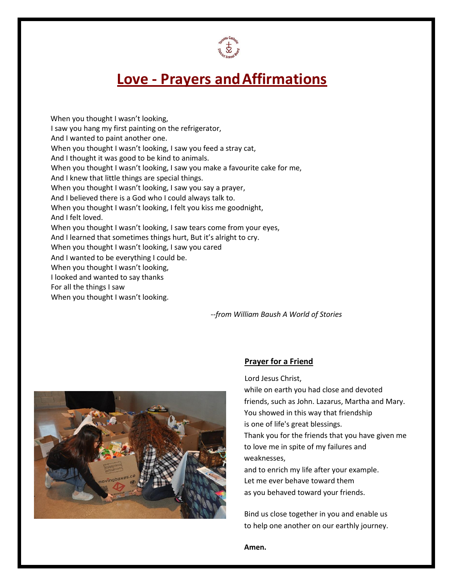

## **Love - Prayers andAffirmations**

 When you thought I wasn't looking, I saw you hang my first painting on the refrigerator, And I wanted to paint another one. When you thought I wasn't looking, I saw you feed a stray cat, And I thought it was good to be kind to animals. When you thought I wasn't looking, I saw you make a favourite cake for me, And I knew that little things are special things. When you thought I wasn't looking, I saw you say a prayer, And I believed there is a God who I could always talk to. When you thought I wasn't looking, I felt you kiss me goodnight, And I felt loved. When you thought I wasn't looking, I saw tears come from your eyes, And I learned that sometimes things hurt, But it's alright to cry. When you thought I wasn't looking, I saw you cared And I wanted to be everything I could be. When you thought I wasn't looking, I looked and wanted to say thanks For all the things I saw When you thought I wasn't looking.

--*from William Baush A World of Stories*



## **Prayer for a Friend**

Lord Jesus Christ,

while on earth you had close and devoted friends, such as John. Lazarus, Martha and Mary. You showed in this way that friendship is one of life's great blessings. Thank you for the friends that you have given me to love me in spite of my failures and weaknesses, and to enrich my life after your example. Let me ever behave toward them as you behaved toward your friends.

Bind us close together in you and enable us to help one another on our earthly journey.

**Amen.**